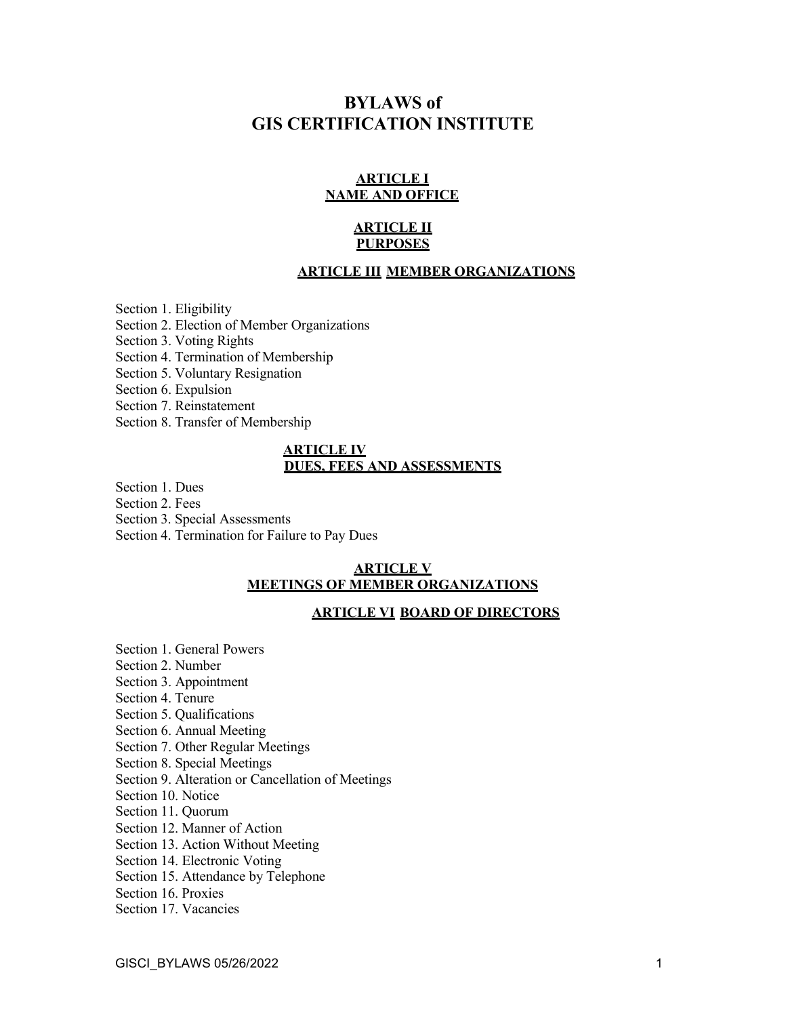# **BYLAWS of GIS CERTIFICATION INSTITUTE**

### **ARTICLE I NAME AND OFFICE**

### **ARTICLE II PURPOSES**

### **ARTICLE III MEMBER ORGANIZATIONS**

Section 1. Eligibility Section 2. Election of Member Organizations Section 3. Voting Rights Section 4. Termination of Membership Section 5. Voluntary Resignation Section 6. Expulsion Section 7. Reinstatement Section 8. Transfer of Membership

#### **ARTICLE IV DUES, FEES AND ASSESSMENTS**

Section 1. Dues

Section 2. Fees

Section 3. Special Assessments

Section 4. Termination for Failure to Pay Dues

#### **ARTICLE V MEETINGS OF MEMBER ORGANIZATIONS**

### **ARTICLE VI BOARD OF DIRECTORS**

Section 1. General Powers Section 2. Number Section 3. Appointment Section 4. Tenure Section 5. Qualifications Section 6. Annual Meeting Section 7. Other Regular Meetings Section 8. Special Meetings Section 9. Alteration or Cancellation of Meetings Section 10. Notice Section 11. Quorum Section 12. Manner of Action Section 13. Action Without Meeting Section 14. Electronic Voting Section 15. Attendance by Telephone

Section 16. Proxies

Section 17. Vacancies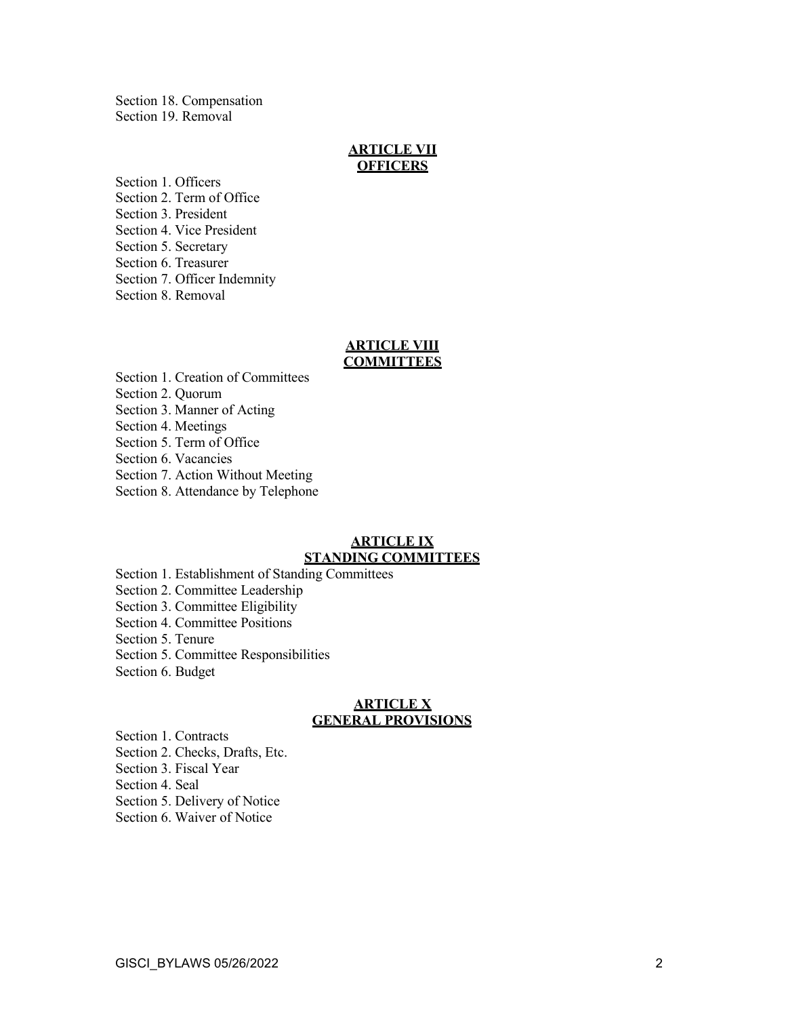Section 18. Compensation Section 19. Removal

#### **ARTICLE VII OFFICERS**

Section 1. Officers Section 2. Term of Office Section 3. President Section 4. Vice President Section 5. Secretary Section 6. Treasurer Section 7. Officer Indemnity Section 8. Removal

#### **ARTICLE VIII COMMITTEES**

Section 1. Creation of Committees Section 2. Quorum Section 3. Manner of Acting Section 4. Meetings

Section 5. Term of Office

Section 6. Vacancies

Section 7. Action Without Meeting

Section 8. Attendance by Telephone

#### **ARTICLE IX STANDING COMMITTEES**

Section 1. Establishment of Standing Committees

Section 2. Committee Leadership

Section 3. Committee Eligibility

Section 4. Committee Positions

Section 5. Tenure

Section 5. Committee Responsibilities

Section 6. Budget

#### **ARTICLE X GENERAL PROVISIONS**

Section 1. Contracts Section 2. Checks, Drafts, Etc. Section 3. Fiscal Year Section 4. Seal Section 5. Delivery of Notice Section 6. Waiver of Notice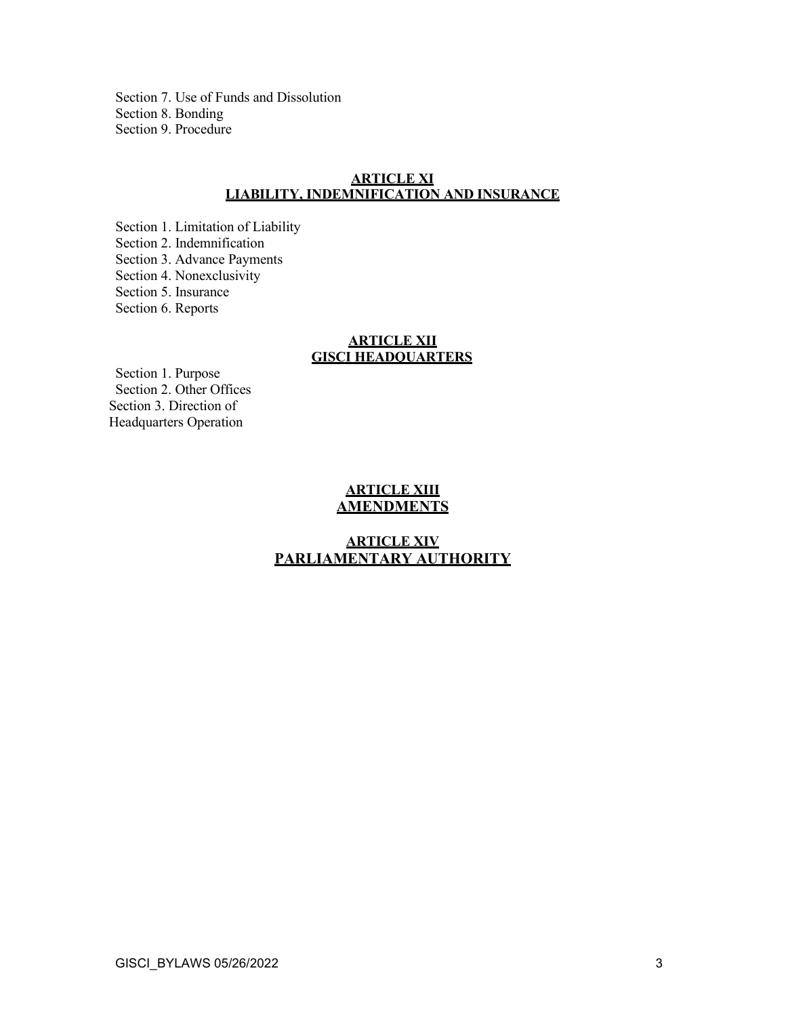Section 7. Use of Funds and Dissolution Section 8. Bonding Section 9. Procedure

### **ARTICLE XI LIABILITY, INDEMNIFICATION AND INSURANCE**

Section 1. Limitation of Liability Section 2. Indemnification Section 3. Advance Payments Section 4. Nonexclusivity Section 5. Insurance Section 6. Reports

### **ARTICLE XII GISCI HEADQUARTERS**

Section 1. Purpose Section 2. Other Offices Section 3. Direction of Headquarters Operation

### **ARTICLE XIII AMENDMENTS**

### **ARTICLE XIV PARLIAMENTARY AUTHORITY**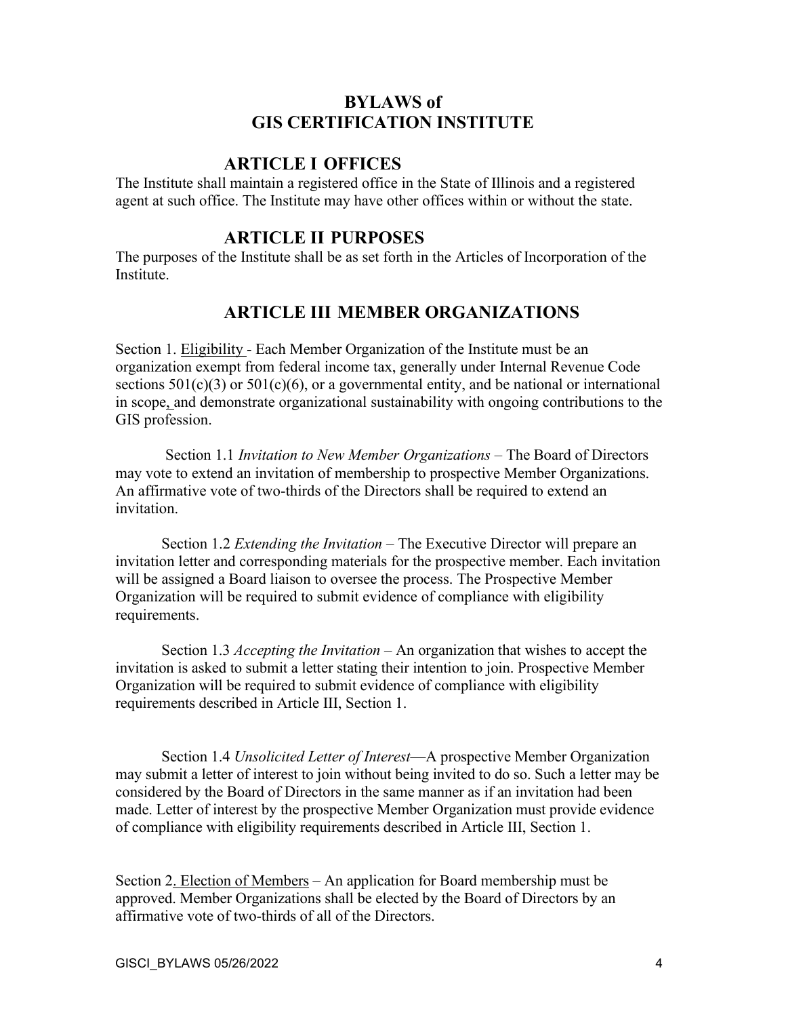## **BYLAWS of GIS CERTIFICATION INSTITUTE**

### **ARTICLE I OFFICES**

The Institute shall maintain a registered office in the State of Illinois and a registered agent at such office. The Institute may have other offices within or without the state.

### **ARTICLE II PURPOSES**

The purposes of the Institute shall be as set forth in the Articles of Incorporation of the Institute.

## **ARTICLE III MEMBER ORGANIZATIONS**

Section 1. Eligibility - Each Member Organization of the Institute must be an organization exempt from federal income tax, generally under Internal Revenue Code sections  $501(c)(3)$  or  $501(c)(6)$ , or a governmental entity, and be national or international in scope, and demonstrate organizational sustainability with ongoing contributions to the GIS profession.

Section 1.1 *Invitation to New Member Organizations* – The Board of Directors may vote to extend an invitation of membership to prospective Member Organizations. An affirmative vote of two-thirds of the Directors shall be required to extend an invitation.

Section 1.2 *Extending the Invitation* – The Executive Director will prepare an invitation letter and corresponding materials for the prospective member. Each invitation will be assigned a Board liaison to oversee the process. The Prospective Member Organization will be required to submit evidence of compliance with eligibility requirements.

Section 1.3 *Accepting the Invitation* – An organization that wishes to accept the invitation is asked to submit a letter stating their intention to join. Prospective Member Organization will be required to submit evidence of compliance with eligibility requirements described in Article III, Section 1.

Section 1.4 *Unsolicited Letter of Interest*—A prospective Member Organization may submit a letter of interest to join without being invited to do so. Such a letter may be considered by the Board of Directors in the same manner as if an invitation had been made. Letter of interest by the prospective Member Organization must provide evidence of compliance with eligibility requirements described in Article III, Section 1.

Section 2. Election of Members – An application for Board membership must be approved. Member Organizations shall be elected by the Board of Directors by an affirmative vote of two-thirds of all of the Directors.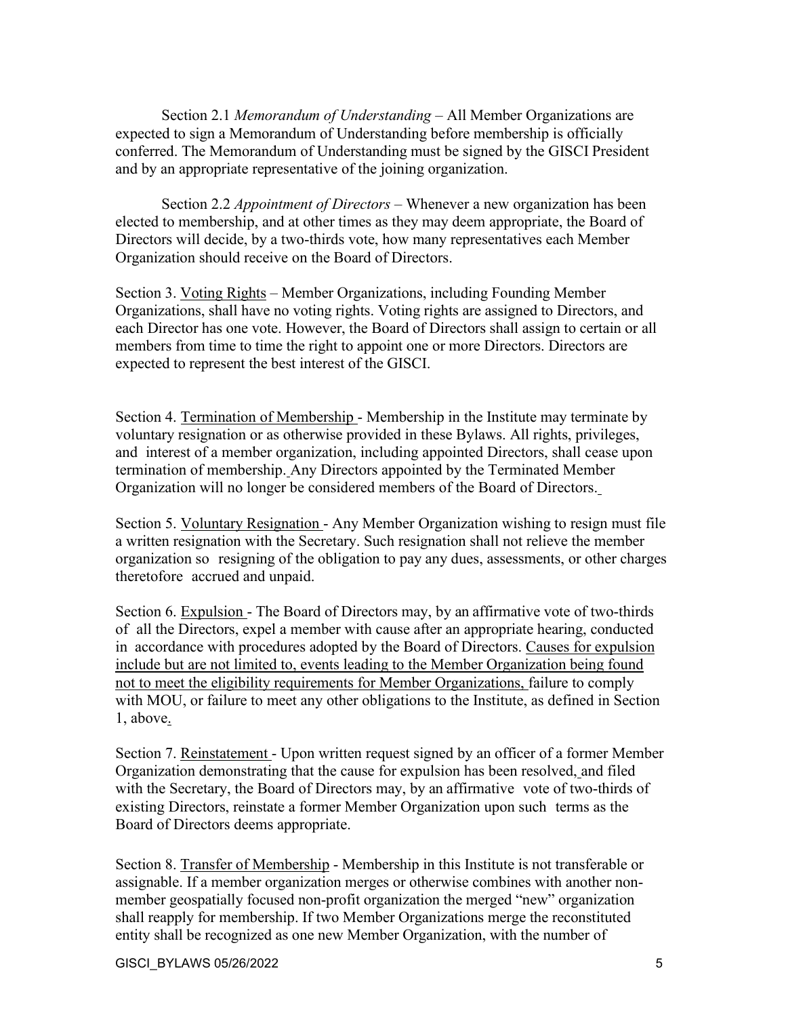Section 2.1 *Memorandum of Understanding* – All Member Organizations are expected to sign a Memorandum of Understanding before membership is officially conferred. The Memorandum of Understanding must be signed by the GISCI President and by an appropriate representative of the joining organization.

Section 2.2 *Appointment of Directors* – Whenever a new organization has been elected to membership, and at other times as they may deem appropriate, the Board of Directors will decide, by a two-thirds vote, how many representatives each Member Organization should receive on the Board of Directors.

Section 3. Voting Rights – Member Organizations, including Founding Member Organizations, shall have no voting rights. Voting rights are assigned to Directors, and each Director has one vote. However, the Board of Directors shall assign to certain or all members from time to time the right to appoint one or more Directors. Directors are expected to represent the best interest of the GISCI.

Section 4. Termination of Membership - Membership in the Institute may terminate by voluntary resignation or as otherwise provided in these Bylaws. All rights, privileges, and interest of a member organization, including appointed Directors, shall cease upon termination of membership. Any Directors appointed by the Terminated Member Organization will no longer be considered members of the Board of Directors.

Section 5. Voluntary Resignation - Any Member Organization wishing to resign must file a written resignation with the Secretary. Such resignation shall not relieve the member organization so resigning of the obligation to pay any dues, assessments, or other charges theretofore accrued and unpaid.

Section 6. Expulsion - The Board of Directors may, by an affirmative vote of two-thirds of all the Directors, expel a member with cause after an appropriate hearing, conducted in accordance with procedures adopted by the Board of Directors. Causes for expulsion include but are not limited to, events leading to the Member Organization being found not to meet the eligibility requirements for Member Organizations, failure to comply with MOU, or failure to meet any other obligations to the Institute, as defined in Section 1, above.

Section 7. Reinstatement - Upon written request signed by an officer of a former Member Organization demonstrating that the cause for expulsion has been resolved, and filed with the Secretary, the Board of Directors may, by an affirmative vote of two-thirds of existing Directors, reinstate a former Member Organization upon such terms as the Board of Directors deems appropriate.

Section 8. Transfer of Membership - Membership in this Institute is not transferable or assignable. If a member organization merges or otherwise combines with another nonmember geospatially focused non-profit organization the merged "new" organization shall reapply for membership. If two Member Organizations merge the reconstituted entity shall be recognized as one new Member Organization, with the number of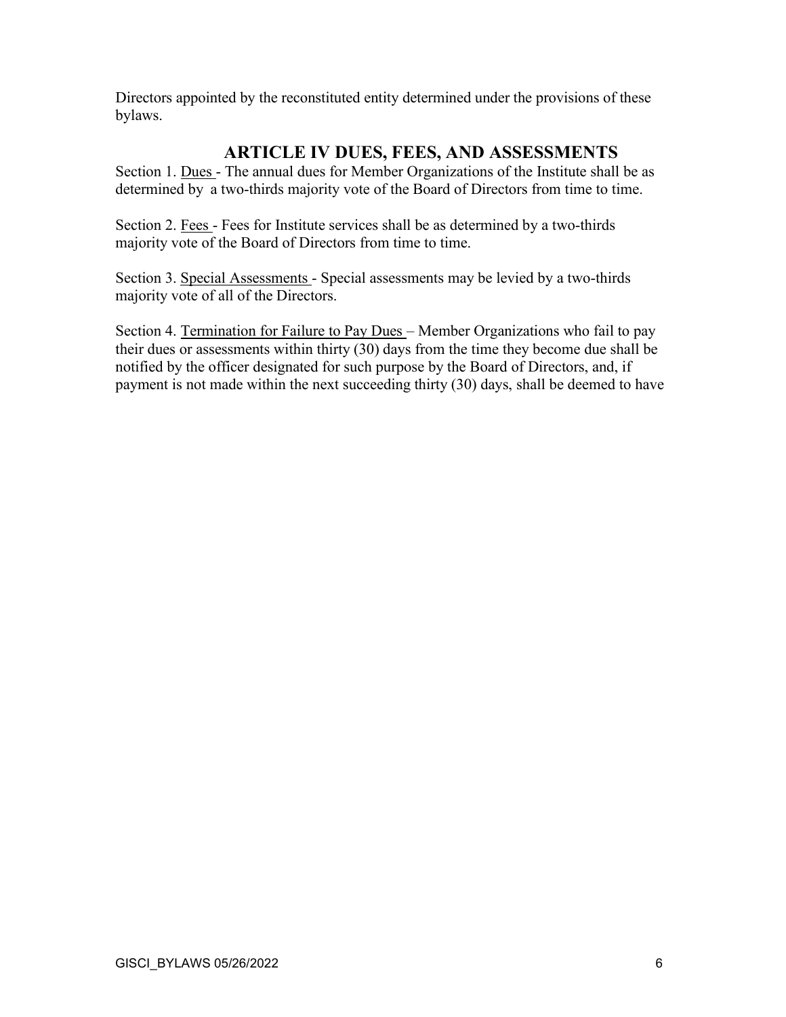Directors appointed by the reconstituted entity determined under the provisions of these bylaws.

### **ARTICLE IV DUES, FEES, AND ASSESSMENTS**

Section 1. Dues - The annual dues for Member Organizations of the Institute shall be as determined by a two-thirds majority vote of the Board of Directors from time to time.

Section 2. Fees - Fees for Institute services shall be as determined by a two-thirds majority vote of the Board of Directors from time to time.

Section 3. Special Assessments - Special assessments may be levied by a two-thirds majority vote of all of the Directors.

Section 4. Termination for Failure to Pay Dues - Member Organizations who fail to pay their dues or assessments within thirty (30) days from the time they become due shall be notified by the officer designated for such purpose by the Board of Directors, and, if payment is not made within the next succeeding thirty (30) days, shall be deemed to have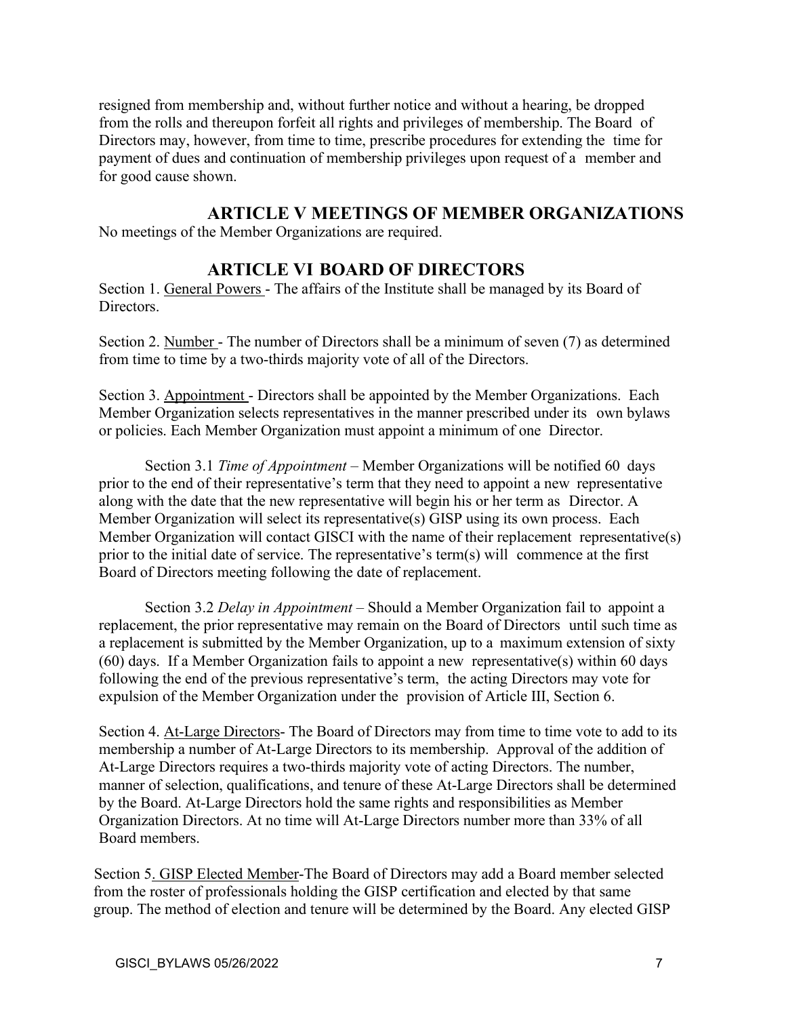resigned from membership and, without further notice and without a hearing, be dropped from the rolls and thereupon forfeit all rights and privileges of membership. The Board of Directors may, however, from time to time, prescribe procedures for extending the time for payment of dues and continuation of membership privileges upon request of a member and for good cause shown.

### **ARTICLE V MEETINGS OF MEMBER ORGANIZATIONS**

No meetings of the Member Organizations are required.

### **ARTICLE VI BOARD OF DIRECTORS**

Section 1. General Powers - The affairs of the Institute shall be managed by its Board of Directors.

Section 2. Number - The number of Directors shall be a minimum of seven (7) as determined from time to time by a two-thirds majority vote of all of the Directors.

Section 3. Appointment - Directors shall be appointed by the Member Organizations. Each Member Organization selects representatives in the manner prescribed under its own bylaws or policies. Each Member Organization must appoint a minimum of one Director.

Section 3.1 *Time of Appointment* – Member Organizations will be notified 60 days prior to the end of their representative's term that they need to appoint a new representative along with the date that the new representative will begin his or her term as Director. A Member Organization will select its representative(s) GISP using its own process. Each Member Organization will contact GISCI with the name of their replacement representative(s) prior to the initial date of service. The representative's term(s) will commence at the first Board of Directors meeting following the date of replacement.

Section 3.2 *Delay in Appointment* – Should a Member Organization fail to appoint a replacement, the prior representative may remain on the Board of Directors until such time as a replacement is submitted by the Member Organization, up to a maximum extension of sixty (60) days. If a Member Organization fails to appoint a new representative(s) within 60 days following the end of the previous representative's term, the acting Directors may vote for expulsion of the Member Organization under the provision of Article III, Section 6.

Section 4. At-Large Directors- The Board of Directors may from time to time vote to add to its membership a number of At-Large Directors to its membership. Approval of the addition of At-Large Directors requires a two-thirds majority vote of acting Directors. The number, manner of selection, qualifications, and tenure of these At-Large Directors shall be determined by the Board. At-Large Directors hold the same rights and responsibilities as Member Organization Directors. At no time will At-Large Directors number more than 33% of all Board members.

Section 5. GISP Elected Member-The Board of Directors may add a Board member selected from the roster of professionals holding the GISP certification and elected by that same group. The method of election and tenure will be determined by the Board. Any elected GISP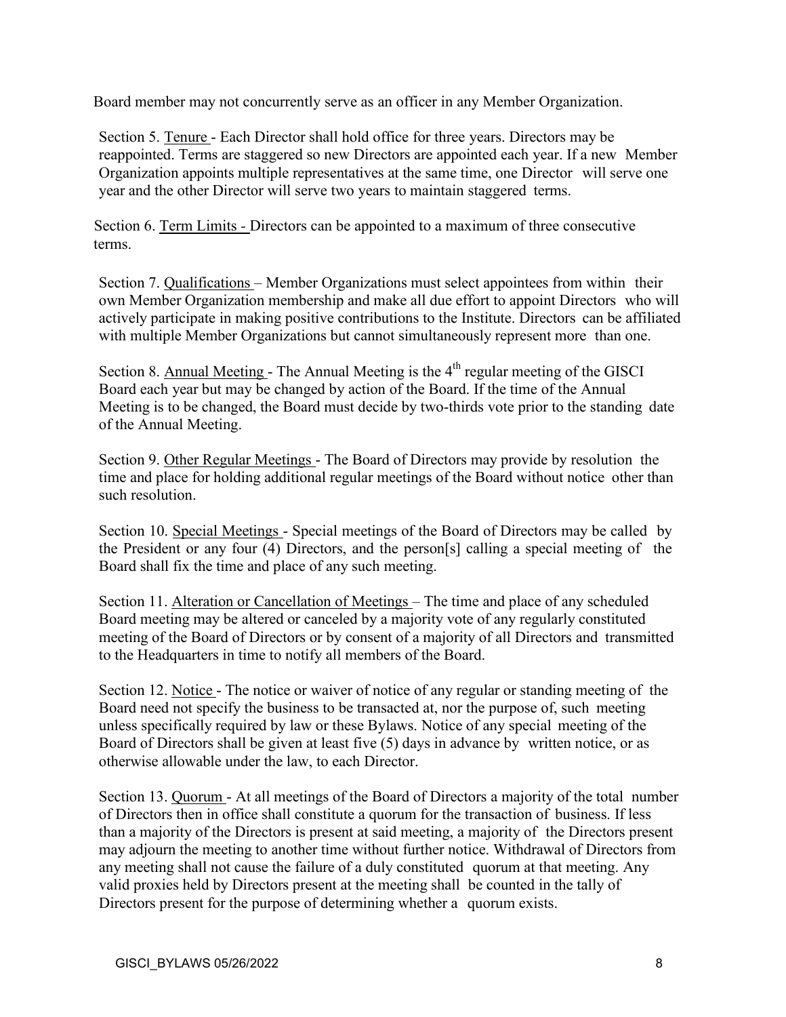Board member may not concurrently serve as an officer in any Member Organization.

Section 5. Tenure - Each Director shall hold office for three years. Directors may be reappointed. Terms are staggered so new Directors are appointed each year. If a new Member Organization appoints multiple representatives at the same time, one Director will serve one year and the other Director will serve two years to maintain staggered terms.

Section 6. Term Limits *-* Directors can be appointed to a maximum of three consecutive terms.

Section 7. Qualifications – Member Organizations must select appointees from within their own Member Organization membership and make all due effort to appoint Directors who will actively participate in making positive contributions to the Institute. Directors can be affiliated with multiple Member Organizations but cannot simultaneously represent more than one.

Section 8. Annual Meeting - The Annual Meeting is the  $4<sup>th</sup>$  regular meeting of the GISCI Board each year but may be changed by action of the Board. If the time of the Annual Meeting is to be changed, the Board must decide by two-thirds vote prior to the standing date of the Annual Meeting.

Section 9. Other Regular Meetings - The Board of Directors may provide by resolution the time and place for holding additional regular meetings of the Board without notice other than such resolution.

Section 10. Special Meetings - Special meetings of the Board of Directors may be called by the President or any four (4) Directors, and the person[s] calling a special meeting of the Board shall fix the time and place of any such meeting.

Section 11. Alteration or Cancellation of Meetings – The time and place of any scheduled Board meeting may be altered or canceled by a majority vote of any regularly constituted meeting of the Board of Directors or by consent of a majority of all Directors and transmitted to the Headquarters in time to notify all members of the Board.

Section 12. Notice - The notice or waiver of notice of any regular or standing meeting of the Board need not specify the business to be transacted at, nor the purpose of, such meeting unless specifically required by law or these Bylaws. Notice of any special meeting of the Board of Directors shall be given at least five (5) days in advance by written notice, or as otherwise allowable under the law, to each Director.

Section 13. Quorum - At all meetings of the Board of Directors a majority of the total number of Directors then in office shall constitute a quorum for the transaction of business. If less than a majority of the Directors is present at said meeting, a majority of the Directors present may adjourn the meeting to another time without further notice. Withdrawal of Directors from any meeting shall not cause the failure of a duly constituted quorum at that meeting. Any valid proxies held by Directors present at the meeting shall be counted in the tally of Directors present for the purpose of determining whether a quorum exists.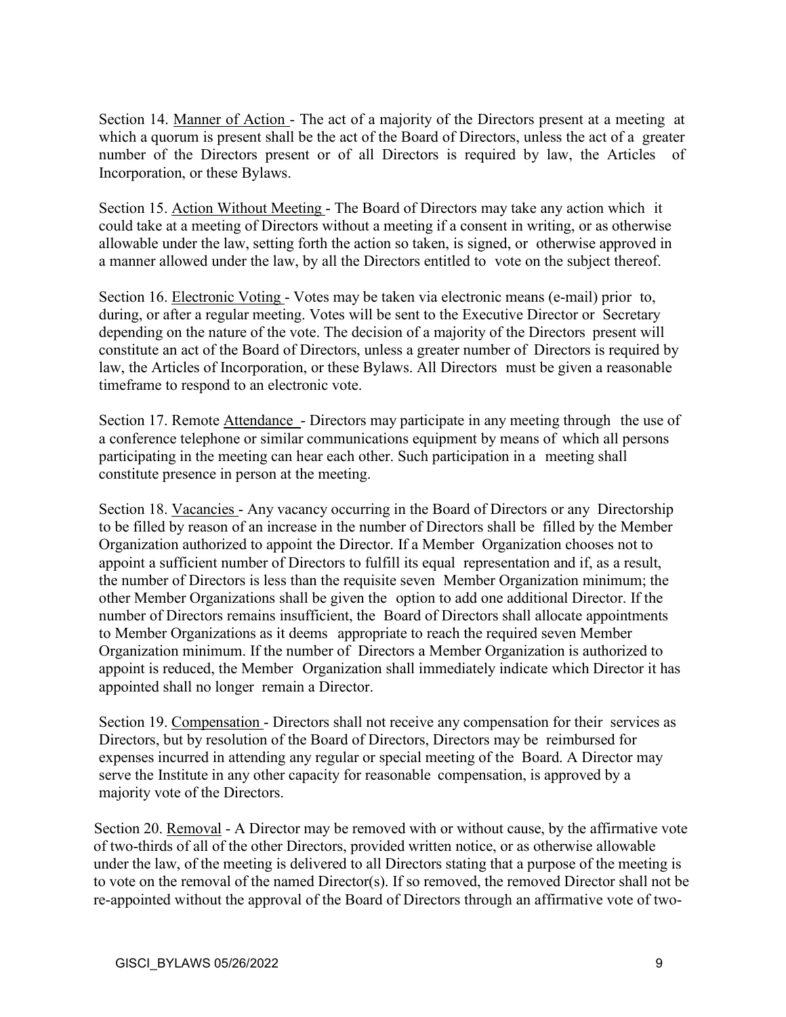Section 14. Manner of Action - The act of a majority of the Directors present at a meeting at which a quorum is present shall be the act of the Board of Directors, unless the act of a greater number of the Directors present or of all Directors is required by law, the Articles of Incorporation, or these Bylaws.

Section 15. Action Without Meeting - The Board of Directors may take any action which it could take at a meeting of Directors without a meeting if a consent in writing, or as otherwise allowable under the law, setting forth the action so taken, is signed, or otherwise approved in a manner allowed under the law, by all the Directors entitled to vote on the subject thereof.

Section 16. Electronic Voting - Votes may be taken via electronic means (e-mail) prior to, during, or after a regular meeting. Votes will be sent to the Executive Director or Secretary depending on the nature of the vote. The decision of a majority of the Directors present will constitute an act of the Board of Directors, unless a greater number of Directors is required by law, the Articles of Incorporation, or these Bylaws. All Directors must be given a reasonable timeframe to respond to an electronic vote.

Section 17. Remote Attendance - Directors may participate in any meeting through the use of a conference telephone or similar communications equipment by means of which all persons participating in the meeting can hear each other. Such participation in a meeting shall constitute presence in person at the meeting.

Section 18. Vacancies - Any vacancy occurring in the Board of Directors or any Directorship to be filled by reason of an increase in the number of Directors shall be filled by the Member Organization authorized to appoint the Director. If a Member Organization chooses not to appoint a sufficient number of Directors to fulfill its equal representation and if, as a result, the number of Directors is less than the requisite seven Member Organization minimum; the other Member Organizations shall be given the option to add one additional Director. If the number of Directors remains insufficient, the Board of Directors shall allocate appointments to Member Organizations as it deems appropriate to reach the required seven Member Organization minimum. If the number of Directors a Member Organization is authorized to appoint is reduced, the Member Organization shall immediately indicate which Director it has appointed shall no longer remain a Director.

Section 19. Compensation - Directors shall not receive any compensation for their services as Directors, but by resolution of the Board of Directors, Directors may be reimbursed for expenses incurred in attending any regular or special meeting of the Board. A Director may serve the Institute in any other capacity for reasonable compensation, is approved by a majority vote of the Directors.

Section 20. Removal - A Director may be removed with or without cause, by the affirmative vote of two-thirds of all of the other Directors, provided written notice, or as otherwise allowable under the law, of the meeting is delivered to all Directors stating that a purpose of the meeting is to vote on the removal of the named Director(s). If so removed, the removed Director shall not be re-appointed without the approval of the Board of Directors through an affirmative vote of two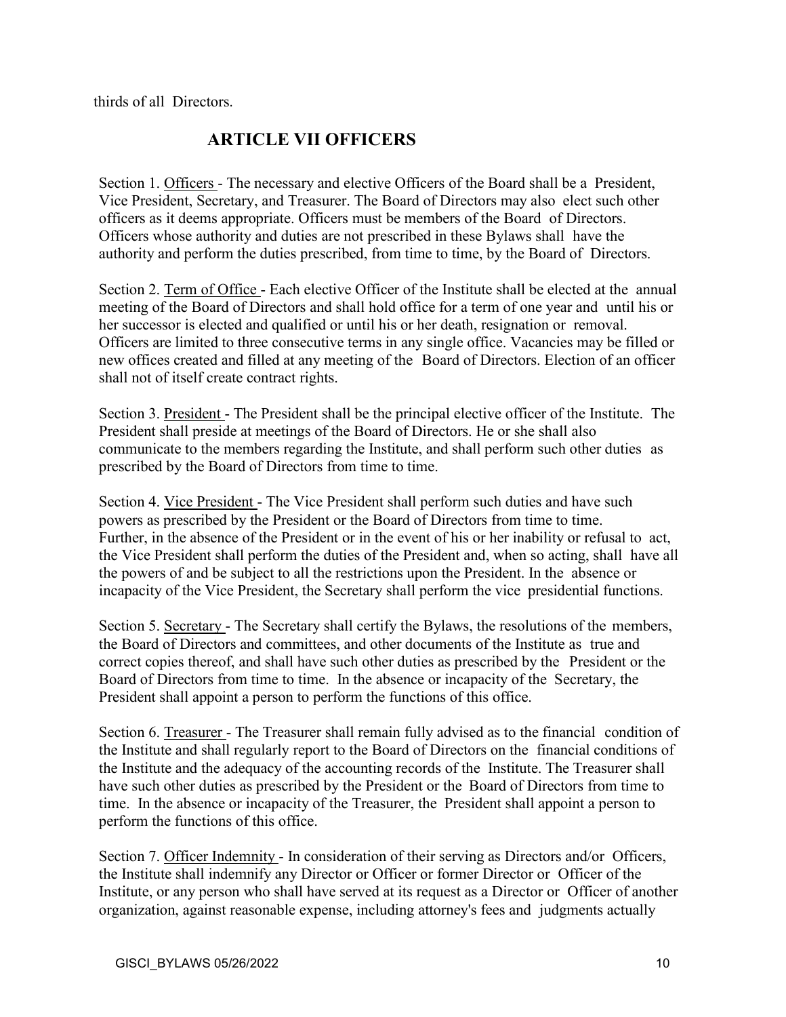thirds of all Directors.

# **ARTICLE VII OFFICERS**

Section 1. Officers - The necessary and elective Officers of the Board shall be a President, Vice President, Secretary, and Treasurer. The Board of Directors may also elect such other officers as it deems appropriate. Officers must be members of the Board of Directors. Officers whose authority and duties are not prescribed in these Bylaws shall have the authority and perform the duties prescribed, from time to time, by the Board of Directors.

Section 2. Term of Office - Each elective Officer of the Institute shall be elected at the annual meeting of the Board of Directors and shall hold office for a term of one year and until his or her successor is elected and qualified or until his or her death, resignation or removal. Officers are limited to three consecutive terms in any single office. Vacancies may be filled or new offices created and filled at any meeting of the Board of Directors. Election of an officer shall not of itself create contract rights.

Section 3. President - The President shall be the principal elective officer of the Institute. The President shall preside at meetings of the Board of Directors. He or she shall also communicate to the members regarding the Institute, and shall perform such other duties as prescribed by the Board of Directors from time to time.

Section 4. Vice President - The Vice President shall perform such duties and have such powers as prescribed by the President or the Board of Directors from time to time. Further, in the absence of the President or in the event of his or her inability or refusal to act, the Vice President shall perform the duties of the President and, when so acting, shall have all the powers of and be subject to all the restrictions upon the President. In the absence or incapacity of the Vice President, the Secretary shall perform the vice presidential functions.

Section 5. Secretary - The Secretary shall certify the Bylaws, the resolutions of the members, the Board of Directors and committees, and other documents of the Institute as true and correct copies thereof, and shall have such other duties as prescribed by the President or the Board of Directors from time to time. In the absence or incapacity of the Secretary, the President shall appoint a person to perform the functions of this office.

Section 6. Treasurer - The Treasurer shall remain fully advised as to the financial condition of the Institute and shall regularly report to the Board of Directors on the financial conditions of the Institute and the adequacy of the accounting records of the Institute. The Treasurer shall have such other duties as prescribed by the President or the Board of Directors from time to time. In the absence or incapacity of the Treasurer, the President shall appoint a person to perform the functions of this office.

Section 7. Officer Indemnity - In consideration of their serving as Directors and/or Officers, the Institute shall indemnify any Director or Officer or former Director or Officer of the Institute, or any person who shall have served at its request as a Director or Officer of another organization, against reasonable expense, including attorney's fees and judgments actually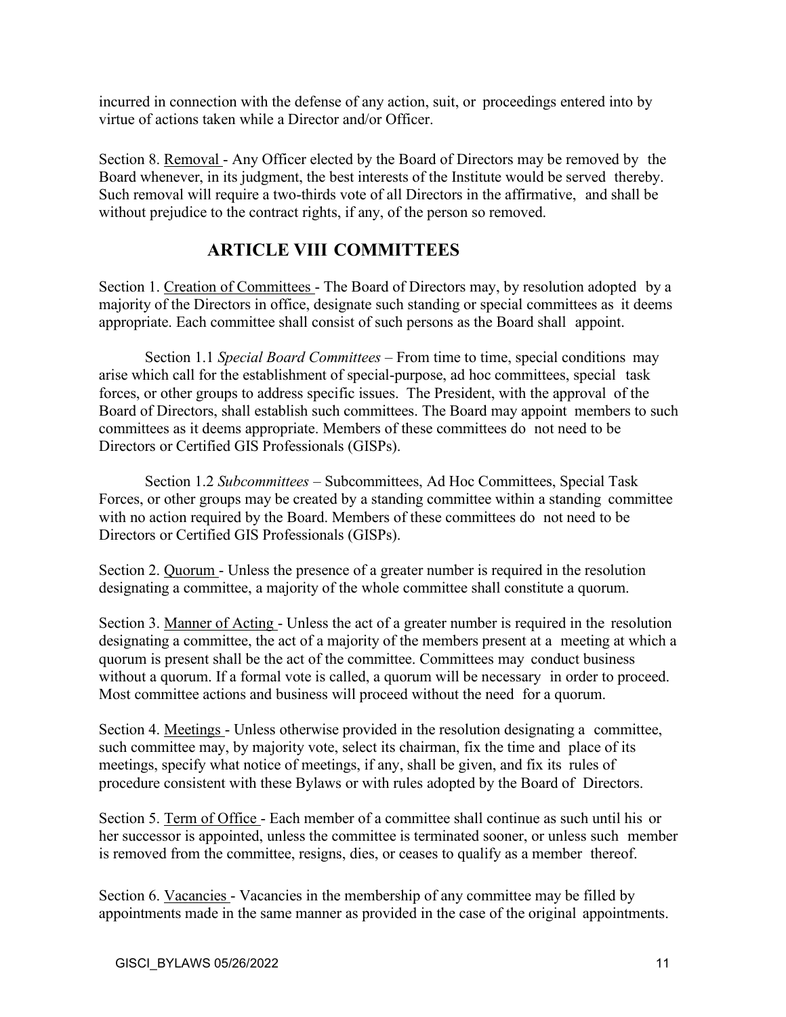incurred in connection with the defense of any action, suit, or proceedings entered into by virtue of actions taken while a Director and/or Officer.

Section 8. Removal - Any Officer elected by the Board of Directors may be removed by the Board whenever, in its judgment, the best interests of the Institute would be served thereby. Such removal will require a two-thirds vote of all Directors in the affirmative, and shall be without prejudice to the contract rights, if any, of the person so removed.

# **ARTICLE VIII COMMITTEES**

Section 1. Creation of Committees - The Board of Directors may, by resolution adopted by a majority of the Directors in office, designate such standing or special committees as it deems appropriate. Each committee shall consist of such persons as the Board shall appoint.

Section 1.1 *Special Board Committees* – From time to time, special conditions may arise which call for the establishment of special-purpose, ad hoc committees, special task forces, or other groups to address specific issues. The President, with the approval of the Board of Directors, shall establish such committees. The Board may appoint members to such committees as it deems appropriate. Members of these committees do not need to be Directors or Certified GIS Professionals (GISPs).

Section 1.2 *Subcommittees* – Subcommittees, Ad Hoc Committees, Special Task Forces, or other groups may be created by a standing committee within a standing committee with no action required by the Board. Members of these committees do not need to be Directors or Certified GIS Professionals (GISPs).

Section 2. Quorum - Unless the presence of a greater number is required in the resolution designating a committee, a majority of the whole committee shall constitute a quorum.

Section 3. Manner of Acting - Unless the act of a greater number is required in the resolution designating a committee, the act of a majority of the members present at a meeting at which a quorum is present shall be the act of the committee. Committees may conduct business without a quorum. If a formal vote is called, a quorum will be necessary in order to proceed. Most committee actions and business will proceed without the need for a quorum.

Section 4. Meetings - Unless otherwise provided in the resolution designating a committee, such committee may, by majority vote, select its chairman, fix the time and place of its meetings, specify what notice of meetings, if any, shall be given, and fix its rules of procedure consistent with these Bylaws or with rules adopted by the Board of Directors.

Section 5. Term of Office - Each member of a committee shall continue as such until his or her successor is appointed, unless the committee is terminated sooner, or unless such member is removed from the committee, resigns, dies, or ceases to qualify as a member thereof.

Section 6. Vacancies - Vacancies in the membership of any committee may be filled by appointments made in the same manner as provided in the case of the original appointments.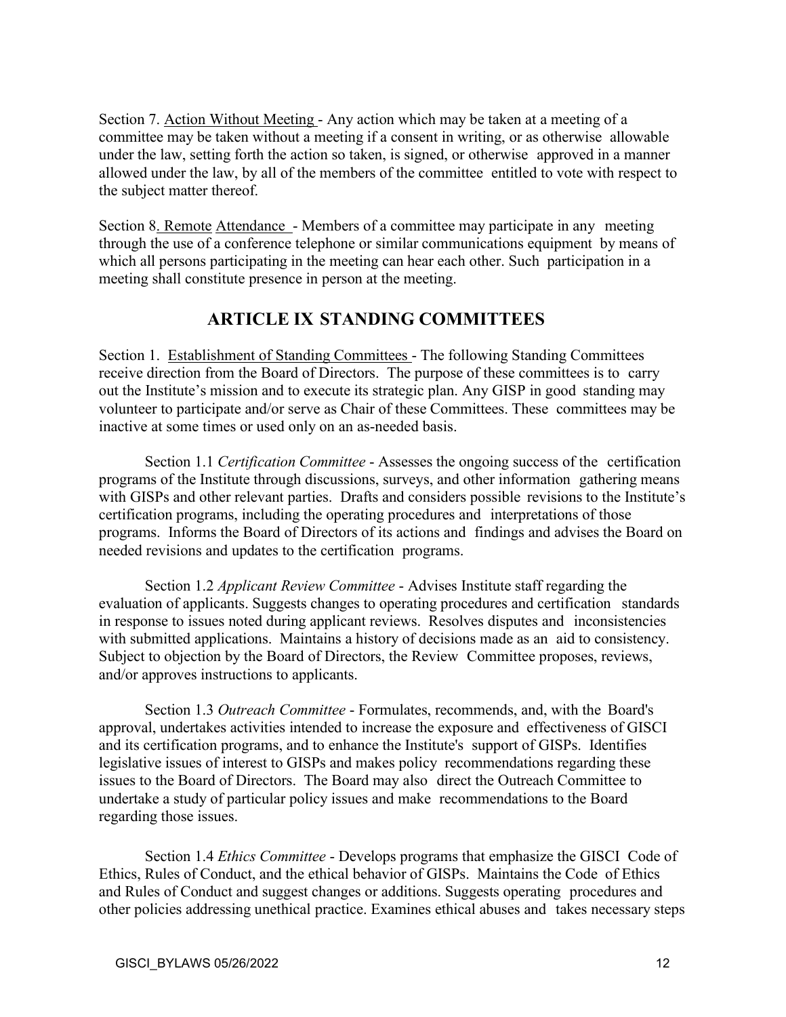Section 7. Action Without Meeting - Any action which may be taken at a meeting of a committee may be taken without a meeting if a consent in writing, or as otherwise allowable under the law, setting forth the action so taken, is signed, or otherwise approved in a manner allowed under the law, by all of the members of the committee entitled to vote with respect to the subject matter thereof.

Section 8. Remote Attendance - Members of a committee may participate in any meeting through the use of a conference telephone or similar communications equipment by means of which all persons participating in the meeting can hear each other. Such participation in a meeting shall constitute presence in person at the meeting.

## **ARTICLE IX STANDING COMMITTEES**

Section 1. Establishment of Standing Committees - The following Standing Committees receive direction from the Board of Directors. The purpose of these committees is to carry out the Institute's mission and to execute its strategic plan. Any GISP in good standing may volunteer to participate and/or serve as Chair of these Committees. These committees may be inactive at some times or used only on an as-needed basis.

Section 1.1 *Certification Committee* - Assesses the ongoing success of the certification programs of the Institute through discussions, surveys, and other information gathering means with GISPs and other relevant parties. Drafts and considers possible revisions to the Institute's certification programs, including the operating procedures and interpretations of those programs. Informs the Board of Directors of its actions and findings and advises the Board on needed revisions and updates to the certification programs.

Section 1.2 *Applicant Review Committee* - Advises Institute staff regarding the evaluation of applicants. Suggests changes to operating procedures and certification standards in response to issues noted during applicant reviews. Resolves disputes and inconsistencies with submitted applications. Maintains a history of decisions made as an aid to consistency. Subject to objection by the Board of Directors, the Review Committee proposes, reviews, and/or approves instructions to applicants.

Section 1.3 *Outreach Committee* - Formulates, recommends, and, with the Board's approval, undertakes activities intended to increase the exposure and effectiveness of GISCI and its certification programs, and to enhance the Institute's support of GISPs. Identifies legislative issues of interest to GISPs and makes policy recommendations regarding these issues to the Board of Directors. The Board may also direct the Outreach Committee to undertake a study of particular policy issues and make recommendations to the Board regarding those issues.

Section 1.4 *Ethics Committee* - Develops programs that emphasize the GISCI Code of Ethics, Rules of Conduct, and the ethical behavior of GISPs. Maintains the Code of Ethics and Rules of Conduct and suggest changes or additions. Suggests operating procedures and other policies addressing unethical practice. Examines ethical abuses and takes necessary steps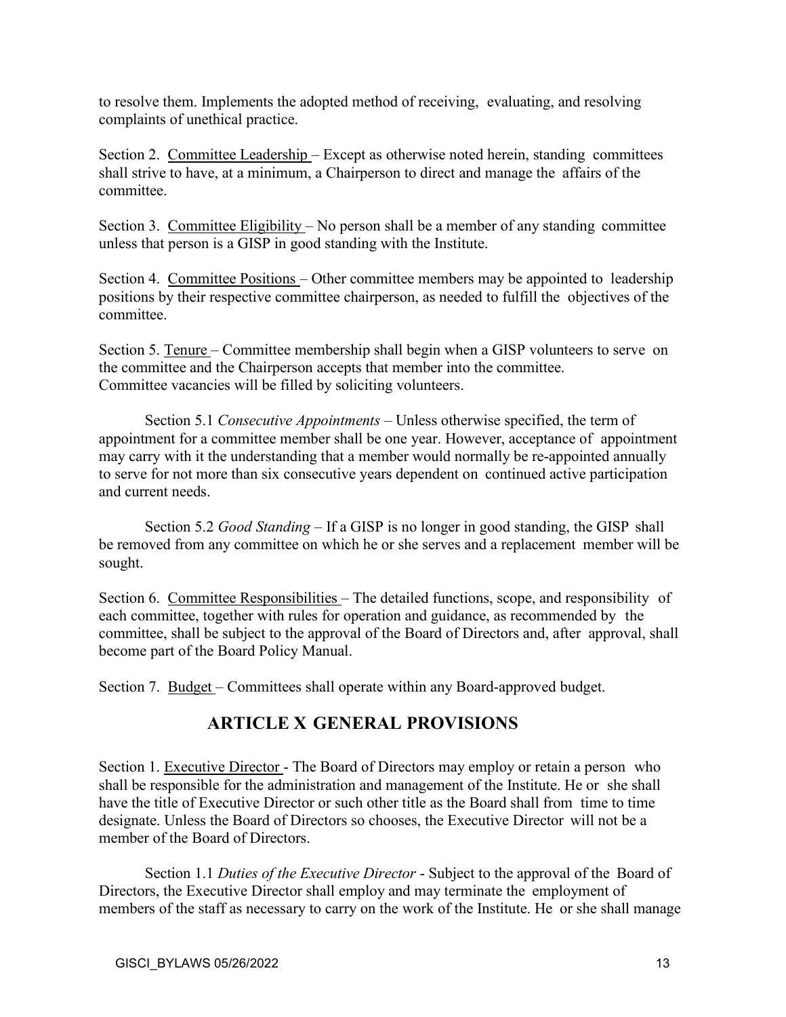to resolve them. Implements the adopted method of receiving, evaluating, and resolving complaints of unethical practice.

Section 2. Committee Leadership – Except as otherwise noted herein, standing committees shall strive to have, at a minimum, a Chairperson to direct and manage the affairs of the committee.

Section 3. Committee Eligibility – No person shall be a member of any standing committee unless that person is a GISP in good standing with the Institute.

Section 4. Committee Positions – Other committee members may be appointed to leadership positions by their respective committee chairperson, as needed to fulfill the objectives of the committee.

Section 5. Tenure – Committee membership shall begin when a GISP volunteers to serve on the committee and the Chairperson accepts that member into the committee. Committee vacancies will be filled by soliciting volunteers.

Section 5.1 *Consecutive Appointments* – Unless otherwise specified, the term of appointment for a committee member shall be one year. However, acceptance of appointment may carry with it the understanding that a member would normally be re-appointed annually to serve for not more than six consecutive years dependent on continued active participation and current needs.

Section 5.2 *Good Standing* – If a GISP is no longer in good standing, the GISP shall be removed from any committee on which he or she serves and a replacement member will be sought.

Section 6. Committee Responsibilities – The detailed functions, scope, and responsibility of each committee, together with rules for operation and guidance, as recommended by the committee, shall be subject to the approval of the Board of Directors and, after approval, shall become part of the Board Policy Manual.

Section 7. Budget – Committees shall operate within any Board-approved budget.

# **ARTICLE X GENERAL PROVISIONS**

Section 1. Executive Director - The Board of Directors may employ or retain a person who shall be responsible for the administration and management of the Institute. He or she shall have the title of Executive Director or such other title as the Board shall from time to time designate. Unless the Board of Directors so chooses, the Executive Director will not be a member of the Board of Directors.

Section 1.1 *Duties of the Executive Director* - Subject to the approval of the Board of Directors, the Executive Director shall employ and may terminate the employment of members of the staff as necessary to carry on the work of the Institute. He or she shall manage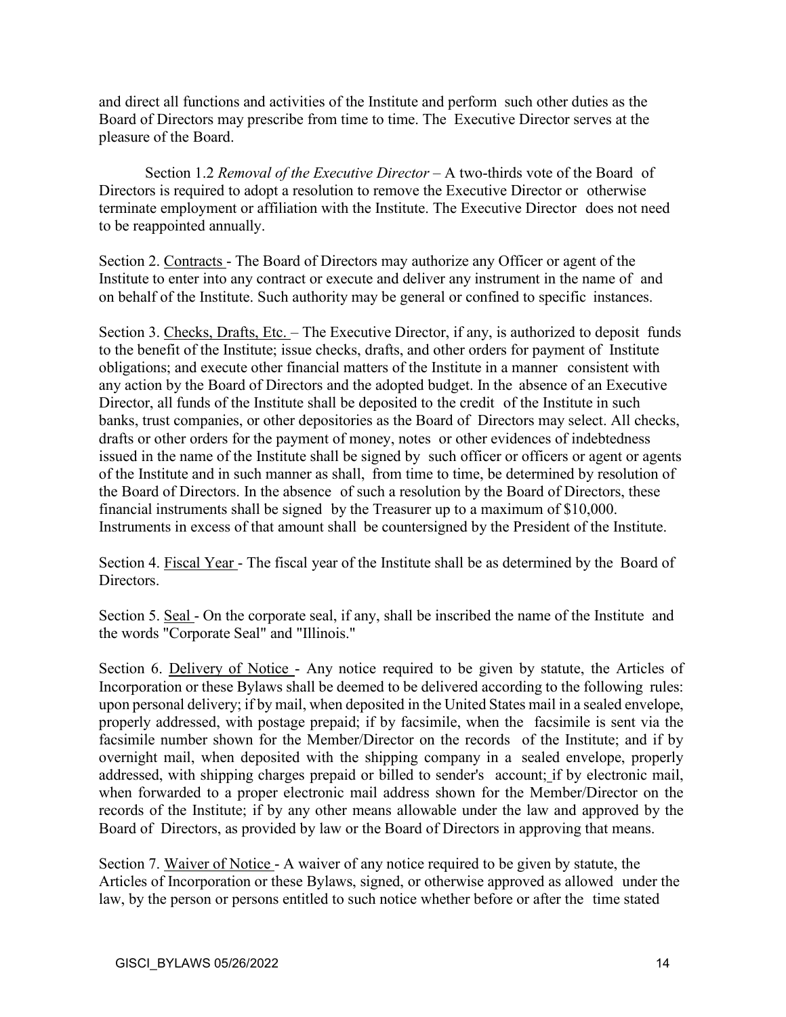and direct all functions and activities of the Institute and perform such other duties as the Board of Directors may prescribe from time to time. The Executive Director serves at the pleasure of the Board.

Section 1.2 *Removal of the Executive Director* – A two-thirds vote of the Board of Directors is required to adopt a resolution to remove the Executive Director or otherwise terminate employment or affiliation with the Institute. The Executive Director does not need to be reappointed annually.

Section 2. Contracts - The Board of Directors may authorize any Officer or agent of the Institute to enter into any contract or execute and deliver any instrument in the name of and on behalf of the Institute. Such authority may be general or confined to specific instances.

Section 3. Checks, Drafts, Etc. - The Executive Director, if any, is authorized to deposit funds to the benefit of the Institute; issue checks, drafts, and other orders for payment of Institute obligations; and execute other financial matters of the Institute in a manner consistent with any action by the Board of Directors and the adopted budget. In the absence of an Executive Director, all funds of the Institute shall be deposited to the credit of the Institute in such banks, trust companies, or other depositories as the Board of Directors may select. All checks, drafts or other orders for the payment of money, notes or other evidences of indebtedness issued in the name of the Institute shall be signed by such officer or officers or agent or agents of the Institute and in such manner as shall, from time to time, be determined by resolution of the Board of Directors. In the absence of such a resolution by the Board of Directors, these financial instruments shall be signed by the Treasurer up to a maximum of \$10,000. Instruments in excess of that amount shall be countersigned by the President of the Institute.

Section 4. Fiscal Year - The fiscal year of the Institute shall be as determined by the Board of Directors.

Section 5. Seal - On the corporate seal, if any, shall be inscribed the name of the Institute and the words "Corporate Seal" and "Illinois."

Section 6. Delivery of Notice - Any notice required to be given by statute, the Articles of Incorporation or these Bylaws shall be deemed to be delivered according to the following rules: upon personal delivery; if by mail, when deposited in the United States mail in a sealed envelope, properly addressed, with postage prepaid; if by facsimile, when the facsimile is sent via the facsimile number shown for the Member/Director on the records of the Institute; and if by overnight mail, when deposited with the shipping company in a sealed envelope, properly addressed, with shipping charges prepaid or billed to sender's account; if by electronic mail, when forwarded to a proper electronic mail address shown for the Member/Director on the records of the Institute; if by any other means allowable under the law and approved by the Board of Directors, as provided by law or the Board of Directors in approving that means.

Section 7. Waiver of Notice - A waiver of any notice required to be given by statute, the Articles of Incorporation or these Bylaws, signed, or otherwise approved as allowed under the law, by the person or persons entitled to such notice whether before or after the time stated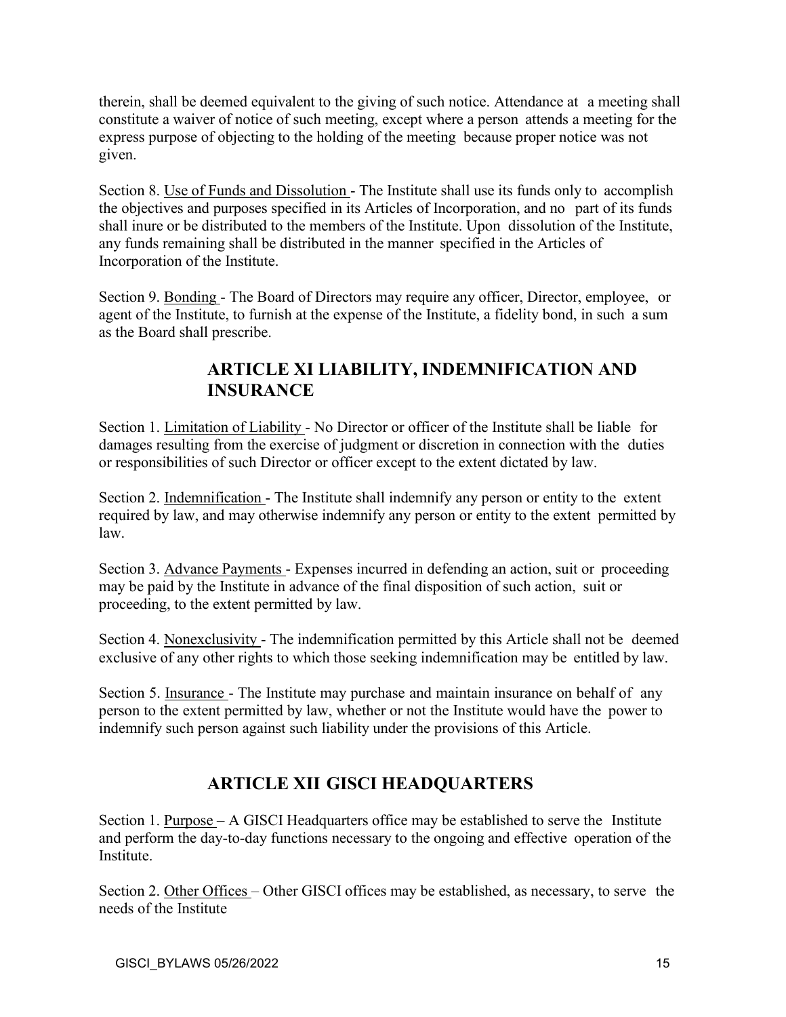therein, shall be deemed equivalent to the giving of such notice. Attendance at a meeting shall constitute a waiver of notice of such meeting, except where a person attends a meeting for the express purpose of objecting to the holding of the meeting because proper notice was not given.

Section 8. Use of Funds and Dissolution - The Institute shall use its funds only to accomplish the objectives and purposes specified in its Articles of Incorporation, and no part of its funds shall inure or be distributed to the members of the Institute. Upon dissolution of the Institute, any funds remaining shall be distributed in the manner specified in the Articles of Incorporation of the Institute.

Section 9. Bonding - The Board of Directors may require any officer, Director, employee, or agent of the Institute, to furnish at the expense of the Institute, a fidelity bond, in such a sum as the Board shall prescribe.

# **ARTICLE XI LIABILITY, INDEMNIFICATION AND INSURANCE**

Section 1. Limitation of Liability - No Director or officer of the Institute shall be liable for damages resulting from the exercise of judgment or discretion in connection with the duties or responsibilities of such Director or officer except to the extent dictated by law.

Section 2. Indemnification - The Institute shall indemnify any person or entity to the extent required by law, and may otherwise indemnify any person or entity to the extent permitted by law.

Section 3. Advance Payments - Expenses incurred in defending an action, suit or proceeding may be paid by the Institute in advance of the final disposition of such action, suit or proceeding, to the extent permitted by law.

Section 4. Nonexclusivity - The indemnification permitted by this Article shall not be deemed exclusive of any other rights to which those seeking indemnification may be entitled by law.

Section 5. Insurance - The Institute may purchase and maintain insurance on behalf of any person to the extent permitted by law, whether or not the Institute would have the power to indemnify such person against such liability under the provisions of this Article.

# **ARTICLE XII GISCI HEADQUARTERS**

Section 1. Purpose – A GISCI Headquarters office may be established to serve the Institute and perform the day-to-day functions necessary to the ongoing and effective operation of the Institute.

Section 2. Other Offices – Other GISCI offices may be established, as necessary, to serve the needs of the Institute